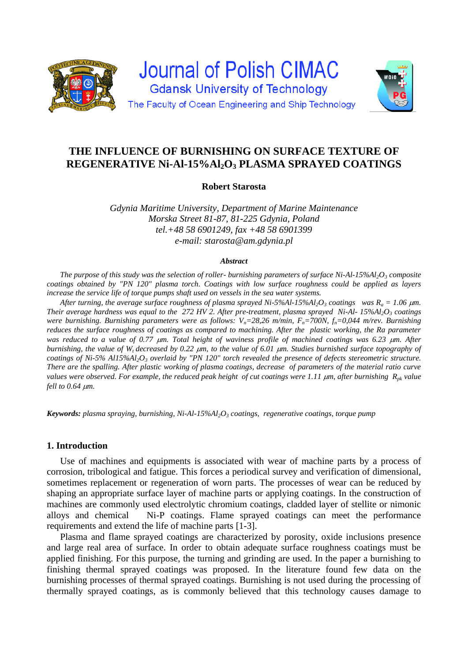

# **THE INFLUENCE OF BURNISHING ON SURFACE TEXTURE OF REGENERATIVE Ni-Al-15%Al2O<sup>3</sup> PLASMA SPRAYED COATINGS**

# **Robert Starosta**

*Gdynia Maritime University, Department of Marine Maintenance Morska Street 81-87, 81-225 Gdynia, Poland tel.+48 58 6901249, fax +48 58 6901399 e-mail: starosta@am.gdynia.pl*

#### *Abstract*

*The purpose of this study was the selection of roller- burnishing parameters of surface Ni-Al-15%Al2O<sup>3</sup> composite coatings obtained by "PN 120" plasma torch. Coatings with low surface roughness could be applied as layers increase the service life of torque pumps shaft used on vessels in the sea water systems.*

*After turning, the average surface roughness of plasma sprayed Ni-5%Al-15%Al2O<sup>3</sup> coatings was R<sup>a</sup> = 1.06 m. Their average hardness was equal to the 272 HV 2. After pre-treatment, plasma sprayed Ni-Al- 15%Al2O<sup>3</sup> coatings were burnishing. Burnishing parameters were as follows: Vn=28,26 m/min, Fn=700N, fn=0,044 m/rev. Burnishing reduces the surface roughness of coatings as compared to machining. After the plastic working, the Ra parameter was reduced to a value of 0.77*  $\mu$ *m. Total height of waviness profile of machined coatings was 6.23*  $\mu$ *m. After burnishing, the value of Wt decreased by 0.22 m, to the value of 6.01 m. Studies burnished surface topography of coatings of Ni-5% Al15%Al2O<sup>3</sup> overlaid by "PN 120" torch revealed the presence of defects stereometric structure. There are the spalling. After plastic working of plasma coatings, decrease of parameters of the material ratio curve values were observed. For example, the reduced peak height of cut coatings were 1.11 m, after burnishing Rpk value fell to 0.64 m.*

*Keywords: plasma spraying, burnishing, Ni-Al-15%Al2O<sup>3</sup> coatings, regenerative coatings, torque pump*

## **1. Introduction**

Use of machines and equipments is associated with wear of machine parts by a process of corrosion, tribological and fatigue. This forces a periodical survey and verification of dimensional, sometimes replacement or regeneration of worn parts. The processes of wear can be reduced by shaping an appropriate surface layer of machine parts or applying coatings. In the construction of machines are commonly used electrolytic chromium coatings, cladded layer of stellite or nimonic alloys and chemical Ni-P coatings. Flame sprayed coatings can meet the performance requirements and extend the life of machine parts [1-3].

Plasma and flame sprayed coatings are characterized by porosity, oxide inclusions presence and large real area of surface. In order to obtain adequate surface roughness coatings must be applied finishing. For this purpose, the turning and grinding are used. In the paper a burnishing to finishing thermal sprayed coatings was proposed. In the literature found few data on the burnishing processes of thermal sprayed coatings. Burnishing is not used during the processing of thermally sprayed coatings, as is commonly believed that this technology causes damage to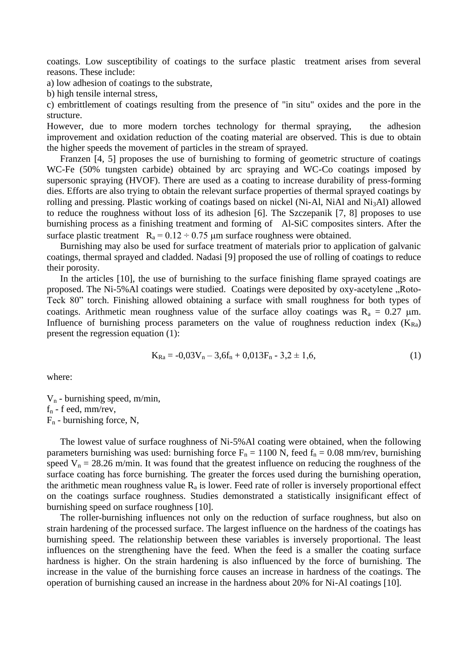coatings. Low susceptibility of coatings to the surface plastic treatment arises from several reasons. These include:

a) low adhesion of coatings to the substrate,

b) high tensile internal stress,

c) embrittlement of coatings resulting from the presence of "in situ" oxides and the pore in the structure.

However, due to more modern torches technology for thermal spraying, the adhesion improvement and oxidation reduction of the coating material are observed. This is due to obtain the higher speeds the movement of particles in the stream of sprayed.

Franzen [4, 5] proposes the use of burnishing to forming of geometric structure of coatings WC-Fe (50% tungsten carbide) obtained by arc spraying and WC-Co coatings imposed by supersonic spraying (HVOF). There are used as a coating to increase durability of press-forming dies. Efforts are also trying to obtain the relevant surface properties of thermal sprayed coatings by rolling and pressing. Plastic working of coatings based on nickel (Ni-Al, NiAl and Ni<sub>3</sub>Al) allowed to reduce the roughness without loss of its adhesion [6]. The Szczepanik [7, 8] proposes to use burnishing process as a finishing treatment and forming of Al-SiC composites sinters. After the surface plastic treatment  $R_a = 0.12 \div 0.75$  µm surface roughness were obtained.

Burnishing may also be used for surface treatment of materials prior to application of galvanic coatings, thermal sprayed and cladded. Nadasi [9] proposed the use of rolling of coatings to reduce their porosity.

In the articles [10], the use of burnishing to the surface finishing flame sprayed coatings are proposed. The Ni-5%Al coatings were studied. Coatings were deposited by oxy-acetylene "Roto-Teck 80" torch. Finishing allowed obtaining a surface with small roughness for both types of coatings. Arithmetic mean roughness value of the surface alloy coatings was  $R_a = 0.27 \mu m$ . Influence of burnishing process parameters on the value of roughness reduction index  $(K_{Ra})$ present the regression equation (1):

$$
K_{Ra} = -0.03V_n - 3.6f_n + 0.013F_n - 3.2 \pm 1.6,
$$
\n(1)

where:

 $V_n$  - burnishing speed, m/min,  $f_n$  - f eed, mm/rev,  $F_n$  - burnishing force, N,

The lowest value of surface roughness of Ni-5%Al coating were obtained, when the following parameters burnishing was used: burnishing force  $F_n = 1100$  N, feed  $f_n = 0.08$  mm/rev, burnishing speed  $V_n = 28.26$  m/min. It was found that the greatest influence on reducing the roughness of the surface coating has force burnishing. The greater the forces used during the burnishing operation, the arithmetic mean roughness value  $R_a$  is lower. Feed rate of roller is inversely proportional effect on the coatings surface roughness. Studies demonstrated a statistically insignificant effect of burnishing speed on surface roughness [10].

The roller-burnishing influences not only on the reduction of surface roughness, but also on strain hardening of the processed surface. The largest influence on the hardness of the coatings has burnishing speed. The relationship between these variables is inversely proportional. The least influences on the strengthening have the feed. When the feed is a smaller the coating surface hardness is higher. On the strain hardening is also influenced by the force of burnishing. The increase in the value of the burnishing force causes an increase in hardness of the coatings. The operation of burnishing caused an increase in the hardness about 20% for Ni-Al coatings [10].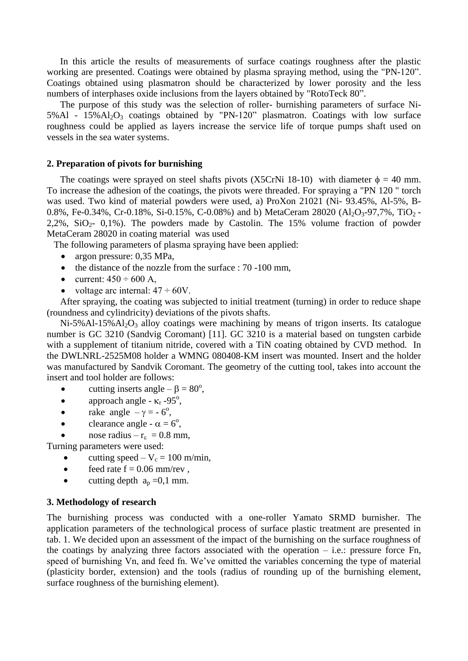In this article the results of measurements of surface coatings roughness after the plastic working are presented. Coatings were obtained by plasma spraying method, using the "PN-120". Coatings obtained using plasmatron should be characterized by lower porosity and the less numbers of interphases oxide inclusions from the layers obtained by "RotoTeck 80".

The purpose of this study was the selection of roller- burnishing parameters of surface Ni- $5\%$ Al -  $15\%$ Al<sub>2</sub>O<sub>3</sub> coatings obtained by "PN-120" plasmatron. Coatings with low surface roughness could be applied as layers increase the service life of torque pumps shaft used on vessels in the sea water systems.

#### **2. Preparation of pivots for burnishing**

The coatings were sprayed on steel shafts pivots (X5CrNi 18-10) with diameter  $\phi = 40$  mm. To increase the adhesion of the coatings, the pivots were threaded. For spraying a "PN 120 " torch was used. Two kind of material powders were used, a) ProXon 21021 (Ni- 93.45%, Al-5%, B-0.8%, Fe-0.34%, Cr-0.18%, Si-0.15%, C-0.08%) and b) MetaCeram 28020 (Al<sub>2</sub>O<sub>3</sub>-97,7%, TiO<sub>2</sub> - $2,2\%$ ,  $SiO<sub>2</sub>$ - 0,1%). The powders made by Castolin. The 15% volume fraction of powder MetaCeram 28020 in coating material was used

The following parameters of plasma spraying have been applied:

- argon pressure: 0,35 MPa,
- the distance of the nozzle from the surface : 70 -100 mm,
- current:  $450 \div 600$  A,
- voltage arc internal:  $47 \div 60V$ .

After spraying, the coating was subjected to initial treatment (turning) in order to reduce shape (roundness and cylindricity) deviations of the pivots shafts.

 $Ni-5%Al-15%Al<sub>2</sub>O<sub>3</sub>$  alloy coatings were machining by means of trigon inserts. Its catalogue number is GC 3210 (Sandvig Coromant) [11]. GC 3210 is a material based on tungsten carbide with a supplement of titanium nitride, covered with a TiN coating obtained by CVD method. In the DWLNRL-2525M08 holder a WMNG 080408-KM insert was mounted. Insert and the holder was manufactured by Sandvik Coromant. The geometry of the cutting tool, takes into account the insert and tool holder are follows:

- cutting inserts angle  $-\beta = 80^\circ$ ,
- approach angle  $\kappa_r$  -95°,
- rake angle  $-\gamma = -6^\circ$ ,
- clearance angle  $\alpha = 6^\circ$ ,
- nose radius  $r_{\epsilon} = 0.8$  mm,

Turning parameters were used:

- cutting speed  $V_c = 100$  m/min,
- $\bullet$  feed rate  $f = 0.06$  mm/rev,
- cutting depth  $a_p = 0,1$  mm.

# **3. Methodology of research**

The burnishing process was conducted with a one-roller Yamato SRMD burnisher. The application parameters of the technological process of surface plastic treatment are presented in tab. 1. We decided upon an assessment of the impact of the burnishing on the surface roughness of the coatings by analyzing three factors associated with the operation – i.e.: pressure force Fn, speed of burnishing Vn, and feed fn. We've omitted the variables concerning the type of material (plasticity border, extension) and the tools (radius of rounding up of the burnishing element, surface roughness of the burnishing element).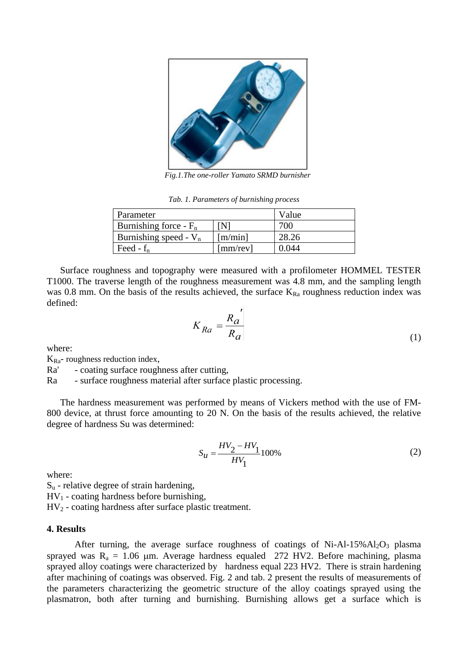

*Fig.1.The one-roller Yamato SRMD burnisher*

*Tab. 1. Parameters of burnishing process*

| Parameter                | Value            |       |
|--------------------------|------------------|-------|
| Burnishing force - $F_n$ | ſΝl              | 700   |
| Burnishing speed - $V_n$ | [m/min]          | 28.26 |
| Feed - $f_n$             | ${\rm [mm/rev]}$ | 0.044 |

Surface roughness and topography were measured with a profilometer HOMMEL TESTER T1000. The traverse length of the roughness measurement was 4.8 mm, and the sampling length was 0.8 mm. On the basis of the results achieved, the surface  $K_{Ra}$  roughness reduction index was defined:

$$
K_{Ra} = \frac{R_a'}{R_a} \tag{1}
$$

where:

 $K_{\text{Ra}^+}$  roughness reduction index,

Ra' - coating surface roughness after cutting,

Ra - surface roughness material after surface plastic processing.

The hardness measurement was performed by means of Vickers method with the use of FM-800 device, at thrust force amounting to 20 N. On the basis of the results achieved, the relative degree of hardness Su was determined:

$$
S_u = \frac{HV_2 - HV_1}{HV_1}100\%
$$
 (2)

where:

 $S<sub>u</sub>$  - relative degree of strain hardening,  $HV_1$  - coating hardness before burnishing, HV<sup>2</sup> - coating hardness after surface plastic treatment.

#### **4. Results**

After turning, the average surface roughness of coatings of Ni-Al-15% $Al_2O_3$  plasma sprayed was  $R_a = 1.06$  µm. Average hardness equaled 272 HV2. Before machining, plasma sprayed alloy coatings were characterized by hardness equal 223 HV2. There is strain hardening after machining of coatings was observed. Fig. 2 and tab. 2 present the results of measurements of the parameters characterizing the geometric structure of the alloy coatings sprayed using the plasmatron, both after turning and burnishing. Burnishing allows get a surface which is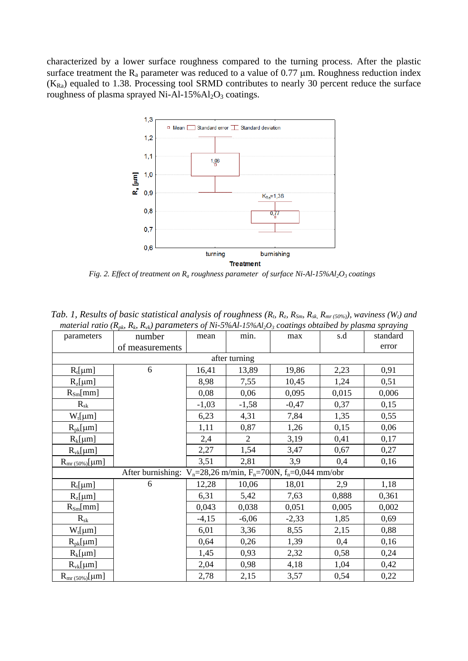characterized by a lower surface roughness compared to the turning process. After the plastic surface treatment the  $R_a$  parameter was reduced to a value of 0.77  $\mu$ m. Roughness reduction index  $(K_{Ra})$  equaled to 1.38. Processing tool SRMD contributes to nearly 30 percent reduce the surface roughness of plasma sprayed Ni-Al-15%Al<sub>2</sub>O<sub>3</sub> coatings.



*Fig. 2. Effect of treatment on R<sup>a</sup> roughness parameter of surface Ni-Al-15%Al2O<sup>3</sup> coatings*

|                                                                            | <b>Tab.</b> 1, Results of basic statistical analysts of roughness $(\kappa_b, \kappa_z, \kappa_{Sm}, \kappa_{sk}, \kappa_{mr(50\%)})$ , waviness (w <sub>t</sub> ) and<br>material ratio ( $R_{pk}$ , $R_{vk}$ ) parameters of Ni-5%Al-15%Al <sub>2</sub> O <sub>3</sub> coatings obtaibed by plasma spraying |         |                |         |       |          |  |  |
|----------------------------------------------------------------------------|---------------------------------------------------------------------------------------------------------------------------------------------------------------------------------------------------------------------------------------------------------------------------------------------------------------|---------|----------------|---------|-------|----------|--|--|
| parameters                                                                 | number                                                                                                                                                                                                                                                                                                        | mean    | min.           | max     | s.d   | standard |  |  |
|                                                                            | of measurements                                                                                                                                                                                                                                                                                               |         |                |         |       | error    |  |  |
| after turning                                                              |                                                                                                                                                                                                                                                                                                               |         |                |         |       |          |  |  |
| $R_t[\mu m]$                                                               | 6                                                                                                                                                                                                                                                                                                             | 16,41   | 13,89          | 19,86   | 2,23  | 0,91     |  |  |
| $R_z[\mu m]$                                                               |                                                                                                                                                                                                                                                                                                               | 8,98    | 7,55           | 10,45   | 1,24  | 0,51     |  |  |
| $R_{\text{Sm}}[mm]$                                                        |                                                                                                                                                                                                                                                                                                               | 0,08    | 0,06           | 0,095   | 0,015 | 0,006    |  |  |
| $R_{\rm sk}$                                                               |                                                                                                                                                                                                                                                                                                               | $-1,03$ | $-1,58$        | $-0,47$ | 0,37  | 0,15     |  |  |
| $W_t[\mu m]$                                                               |                                                                                                                                                                                                                                                                                                               | 6,23    | 4,31           | 7,84    | 1,35  | 0,55     |  |  |
| $R_{pk}$ [µm]                                                              |                                                                                                                                                                                                                                                                                                               | 1,11    | 0,87           | 1,26    | 0,15  | 0,06     |  |  |
| $R_k$ [µm]                                                                 |                                                                                                                                                                                                                                                                                                               | 2,4     | $\overline{2}$ | 3,19    | 0,41  | 0,17     |  |  |
| $R_{vk}$ [µm]                                                              |                                                                                                                                                                                                                                                                                                               | 2,27    | 1,54           | 3,47    | 0,67  | 0,27     |  |  |
| $R_{mr(50\%)}[\mu m]$                                                      |                                                                                                                                                                                                                                                                                                               | 3,51    | 2,81           | 3,9     | 0,4   | 0,16     |  |  |
| After burnishing: $V_n = 28,26$ m/min, $F_n = 700N$ , $f_n = 0,044$ mm/obr |                                                                                                                                                                                                                                                                                                               |         |                |         |       |          |  |  |
| $R_t[\mu m]$                                                               | 6                                                                                                                                                                                                                                                                                                             | 12,28   | 10,06          | 18,01   | 2,9   | 1,18     |  |  |
| $R_z[\mu m]$                                                               |                                                                                                                                                                                                                                                                                                               | 6,31    | 5,42           | 7,63    | 0,888 | 0,361    |  |  |
| $R_{\text{Sm}}[mm]$                                                        |                                                                                                                                                                                                                                                                                                               | 0,043   | 0,038          | 0,051   | 0,005 | 0,002    |  |  |
| $R_{sk}$                                                                   |                                                                                                                                                                                                                                                                                                               | $-4,15$ | $-6,06$        | $-2,33$ | 1,85  | 0,69     |  |  |
| $W_t[\mu m]$                                                               |                                                                                                                                                                                                                                                                                                               | 6,01    | 3,36           | 8,55    | 2,15  | 0,88     |  |  |
| $R_{pk}$ [µm]                                                              |                                                                                                                                                                                                                                                                                                               | 0,64    | 0,26           | 1,39    | 0,4   | 0,16     |  |  |
| $R_k$ [µm]                                                                 |                                                                                                                                                                                                                                                                                                               | 1,45    | 0,93           | 2,32    | 0,58  | 0,24     |  |  |
| $R_{vk}$ [µm]                                                              |                                                                                                                                                                                                                                                                                                               | 2,04    | 0,98           | 4,18    | 1,04  | 0,42     |  |  |
| $R_{mr(50\%)}[\mu m]$                                                      |                                                                                                                                                                                                                                                                                                               | 2,78    | 2,15           | 3,57    | 0,54  | 0,22     |  |  |

*Tab. 1, Results of basic statistical analysis of roughness (R<sup>t</sup> <i><u><b><i>D*</del></u>  $R_5$ ,  $R_7$ ,  $R_7$ ,  $(500)$ , waviness (W<sub>i</sub>) and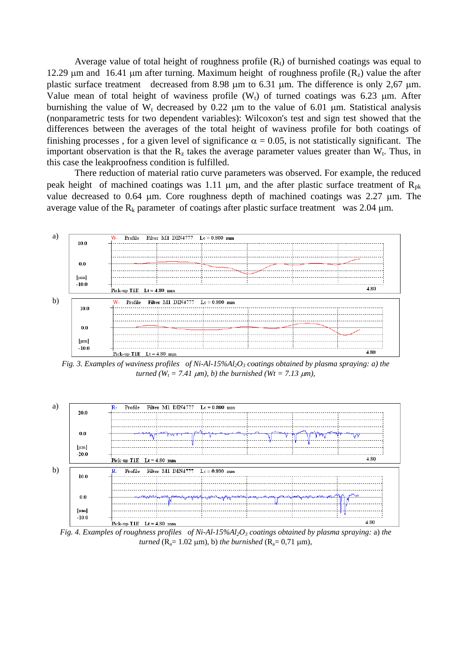Average value of total height of roughness profile  $(R<sub>t</sub>)$  of burnished coatings was equal to 12.29  $\mu$ m and 16.41  $\mu$ m after turning. Maximum height of roughness profile (R<sub>z</sub>) value the after plastic surface treatment decreased from 8.98  $\mu$ m to 6.31  $\mu$ m. The difference is only 2,67  $\mu$ m. Value mean of total height of waviness profile  $(W_t)$  of turned coatings was 6.23  $\mu$ m. After burnishing the value of  $W_t$  decreased by 0.22  $\mu$ m to the value of 6.01  $\mu$ m. Statistical analysis (nonparametric tests for two dependent variables): Wilcoxon's test and sign test showed that the differences between the averages of the total height of waviness profile for both coatings of finishing processes, for a given level of significance  $\alpha = 0.05$ , is not statistically significant. The important observation is that the  $R_z$  takes the average parameter values greater than  $W_t$ . Thus, in this case the leakproofness condition is fulfilled.

There reduction of material ratio curve parameters was observed. For example, the reduced peak height of machined coatings was 1.11  $\mu$ m, and the after plastic surface treatment of R<sub>pk</sub> value decreased to 0.64  $\mu$ m. Core roughness depth of machined coatings was 2.27  $\mu$ m. The average value of the  $R_k$  parameter of coatings after plastic surface treatment was 2.04  $\mu$ m.



*Fig. 3. Examples of waviness profiles of Ni-Al-15%Al2O<sup>3</sup> coatings obtained by plasma spraying: a) the turned* ( $W_t$  = 7.41  $\mu$ m), *b*) the burnished ( $Wt$  = 7.13  $\mu$ m),



*Fig. 4. Examples of roughness profiles of Ni-Al-15%Al2O<sup>3</sup> coatings obtained by plasma spraying:* a) *the turned* ( $R_a = 1.02 \text{ }\mu\text{m}$ ), *b*) *the burnished* ( $R_a = 0.71 \text{ }\mu\text{m}$ ),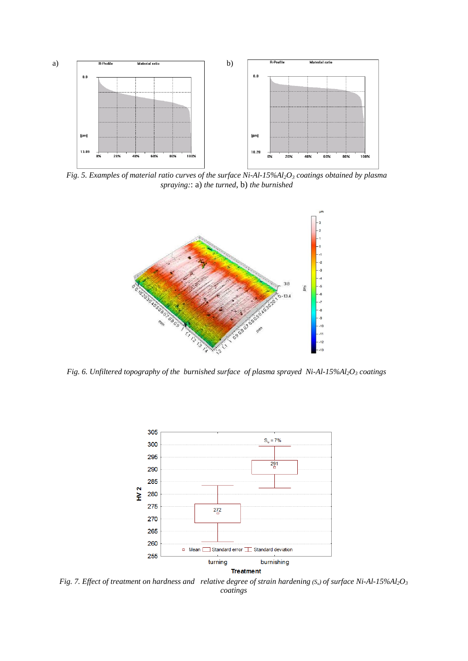

*Fig. 5. Examples of material ratio curves of the surface Ni-Al-15%Al2O<sup>3</sup> coatings obtained by plasma spraying:*: a) *the turned*, b) *the burnished* 



*Fig. 6. Unfiltered topography of the burnished surface of plasma sprayed Ni-Al-15%Al2O<sup>3</sup> coatings*



*Fig. 7. Effect of treatment on hardness and relative degree of strain hardening (Su) of surface Ni-Al-15%Al2O<sup>3</sup> coatings*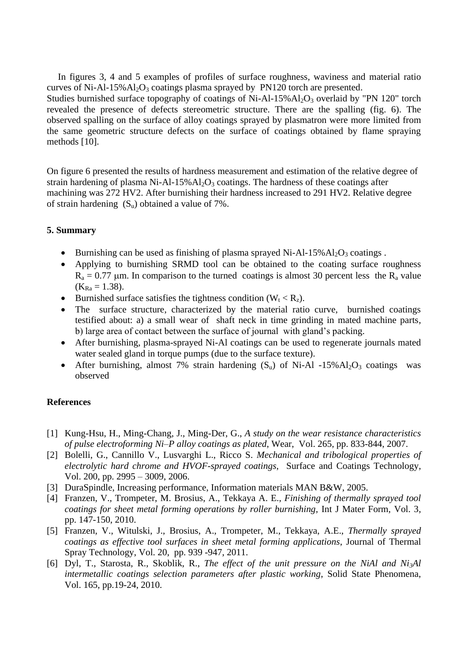In figures 3, 4 and 5 examples of profiles of surface roughness, waviness and material ratio curves of Ni-Al-15% $Al_2O_3$  coatings plasma sprayed by PN120 torch are presented.

Studies burnished surface topography of coatings of Ni-Al-15% $Al_2O_3$  overlaid by "PN 120" torch revealed the presence of defects stereometric structure. There are the spalling (fig. 6). The observed spalling on the surface of alloy coatings sprayed by plasmatron were more limited from the same geometric structure defects on the surface of coatings obtained by flame spraying methods [10].

On figure 6 presented the results of hardness measurement and estimation of the relative degree of strain hardening of plasma Ni-Al-15% $Al_2O_3$  coatings. The hardness of these coatings after machining was 272 HV2. After burnishing their hardness increased to 291 HV2. Relative degree of strain hardening  $(S_u)$  obtained a value of 7%.

# **5. Summary**

- Burnishing can be used as finishing of plasma sprayed Ni-Al-15% $Al_2O_3$  coatings.
- Applying to burnishing SRMD tool can be obtained to the coating surface roughness  $R_a = 0.77$  µm. In comparison to the turned coatings is almost 30 percent less the  $R_a$  value  $(K_{Ra} = 1.38).$
- Burnished surface satisfies the tightness condition  $(W_t < R_z)$ .
- The surface structure, characterized by the material ratio curve, burnished coatings testified about: a) a small wear of shaft neck in time grinding in mated machine parts, b) large area of contact between the surface of journal with gland's packing.
- After burnishing, plasma-sprayed Ni-Al coatings can be used to regenerate journals mated water sealed gland in torque pumps (due to the surface texture).
- After burnishing, almost 7% strain hardening  $(S_u)$  of Ni-Al -15%Al<sub>2</sub>O<sub>3</sub> coatings was observed

## **References**

- [1] Kung-Hsu, H., Ming-Chang, J., Ming-Der, G., *A study on the wear resistance characteristics of pulse electroforming Ni–P alloy coatings as plated*, Wear, Vol. 265, pp. 833-844, 2007.
- [2] Bolelli, G., Cannillo V., Lusvarghi L., Ricco S. *Mechanical and tribological properties of electrolytic hard chrome and HVOF-sprayed coatings*, Surface and Coatings Technology, Vol. 200, pp. 2995 – 3009, 2006.
- [3] DuraSpindle, Increasing performance, Information materials MAN B&W, 2005.
- [4] Franzen, V., Trompeter, M. Brosius, A., Tekkaya A. E., *Finishing of thermally sprayed tool coatings for sheet metal forming operations by roller burnishing,* Int J Mater Form, Vol. 3, pp. 147-150, 2010.
- [5] Franzen, V., Witulski, J., Brosius, A., Trompeter, M., Tekkaya, A.E., *Thermally sprayed coatings as effective tool surfaces in sheet metal forming applications*, Journal of Thermal Spray Technology, Vol. 20, pp. 939 -947, 2011.
- [6] Dyl, T., Starosta, R., Skoblik, R., *The effect of the unit pressure on the NiAl and Ni3Al intermetallic coatings selection parameters after plastic working*, Solid State Phenomena, Vol. 165, pp.19-24, 2010.